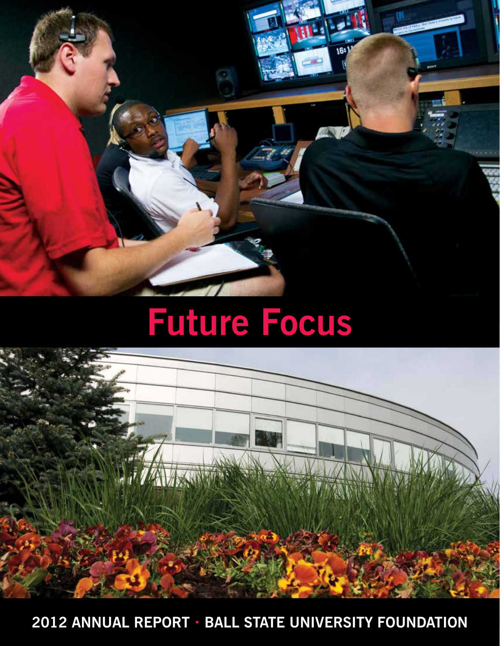

# **Future Focus**



**2012 Annual Report • Ball State University Foundation**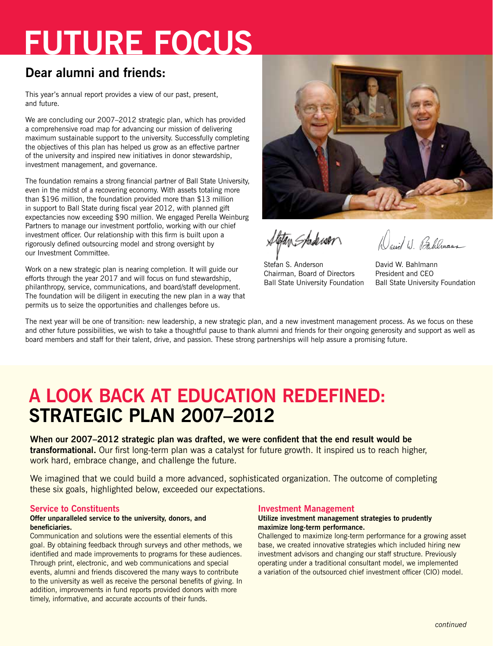## **Future Focus**

### **Dear alumni and friends:**

This year's annual report provides a view of our past, present, and future.

We are concluding our 2007–2012 strategic plan, which has provided a comprehensive road map for advancing our mission of delivering maximum sustainable support to the university. Successfully completing the objectives of this plan has helped us grow as an effective partner of the university and inspired new initiatives in donor stewardship, investment management, and governance.

The foundation remains a strong financial partner of Ball State University, even in the midst of a recovering economy. With assets totaling more than \$196 million, the foundation provided more than \$13 million in support to Ball State during fiscal year 2012, with planned gift expectancies now exceeding \$90 million. We engaged Perella Weinburg Partners to manage our investment portfolio, working with our chief investment officer. Our relationship with this firm is built upon a rigorously defined outsourcing model and strong oversight by our Investment Committee.

Work on a new strategic plan is nearing completion. It will guide our efforts through the year 2017 and will focus on fund stewardship, philanthropy, service, communications, and board/staff development. The foundation will be diligent in executing the new plan in a way that permits us to seize the opportunities and challenges before us.



Stetan Stude wer

Stefan S. Anderson Chairman, Board of Directors Ball State University Foundation

cuil 1) Bellevans

David W. Bahlmann President and CEO Ball State University Foundation

The next year will be one of transition: new leadership, a new strategic plan, and a new investment management process. As we focus on these and other future possibilities, we wish to take a thoughtful pause to thank alumni and friends for their ongoing generosity and support as well as board members and staff for their talent, drive, and passion. These strong partnerships will help assure a promising future.

## **A Look Back at Education Redefined: Strategic Plan 2007–2012**

**When our 2007–2012 strategic plan was drafted, we were confident that the end result would be transformational.** Our first long-term plan was a catalyst for future growth. It inspired us to reach higher, work hard, embrace change, and challenge the future.

We imagined that we could build a more advanced, sophisticated organization. The outcome of completing these six goals, highlighted below, exceeded our expectations.

#### **Service to Constituents**

#### **Offer unparalleled service to the university, donors, and beneficiaries.**

Communication and solutions were the essential elements of this goal. By obtaining feedback through surveys and other methods, we identified and made improvements to programs for these audiences. Through print, electronic, and web communications and special events, alumni and friends discovered the many ways to contribute to the university as well as receive the personal benefits of giving. In addition, improvements in fund reports provided donors with more timely, informative, and accurate accounts of their funds.

#### **Investment Management**

#### **Utilize investment management strategies to prudently maximize long-term performance.**

Challenged to maximize long-term performance for a growing asset base, we created innovative strategies which included hiring new investment advisors and changing our staff structure. Previously operating under a traditional consultant model, we implemented a variation of the outsourced chief investment officer (CIO) model.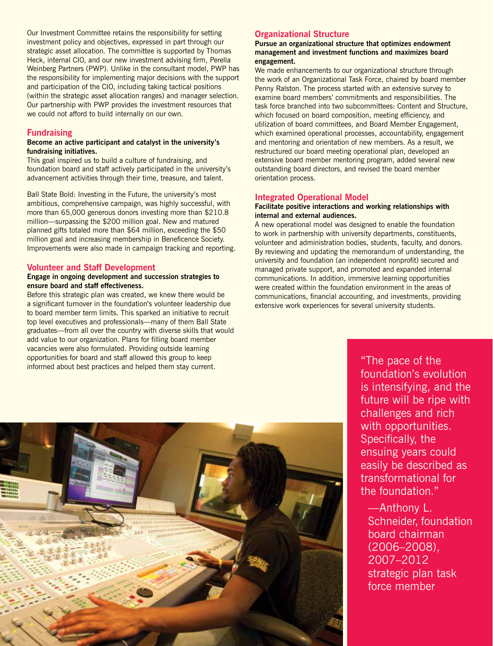Our Investment Committee retains the responsibility for setting investment policy and objectives, expressed in part through our strategic asset allocation. The committee is supported by Thomas Heck, internal CIO, and our new investment advising firm, Perella Weinberg Partners (PWP). Unlike in the consultant model, PWP has the responsibility for implementing major decisions with the support and participation of the CIO, including taking tactical positions (within the strategic asset allocation ranges) and manager selection. Our partnership with PWP provides the investment resources that we could not afford to build internally on our own.

#### **Fundraising**

#### **Become an active participant and catalyst in the university's fundraising initiatives.**

This goal inspired us to build a culture of fundraising, and foundation board and staff actively participated in the university's advancement activities through their time, treasure, and talent.

Ball State Bold: Investing in the Future, the university's most ambitious, comprehensive campaign, was highly successful, with more than 65,000 generous donors investing more than \$210.8 million—surpassing the \$200 million goal. New and matured planned gifts totaled more than \$64 million, exceeding the \$50 million goal and increasing membership in Beneficence Society. Improvements were also made in campaign tracking and reporting.

#### **Volunteer and Staff Development**

#### **Engage in ongoing development and succession strategies to ensure board and staff effectiveness.**

Before this strategic plan was created, we knew there would be a significant turnover in the foundation's volunteer leadership due to board member term limits. This sparked an initiative to recruit top level executives and professionals—many of them Ball State graduates—from all over the country with diverse skills that would add value to our organization. Plans for filling board member vacancies were also formulated. Providing outside learning opportunities for board and staff allowed this group to keep informed about best practices and helped them stay current.

#### **Organizational Structure**

#### **Pursue an organizational structure that optimizes endowment management and investment functions and maximizes board engagement.**

We made enhancements to our organizational structure through the work of an Organizational Task Force, chaired by board member Penny Ralston. The process started with an extensive survey to examine board members' commitments and responsibilities. The task force branched into two subcommittees: Content and Structure, which focused on board composition, meeting efficiency, and utilization of board committees, and Board Member Engagement, which examined operational processes, accountability, engagement and mentoring and orientation of new members. As a result, we restructured our board meeting operational plan, developed an extensive board member mentoring program, added several new outstanding board directors, and revised the board member orientation process.

#### **Integrated Operational Model**

#### **Facilitate positive interactions and working relationships with internal and external audiences.**

A new operational model was designed to enable the foundation to work in partnership with university departments, constituents, volunteer and administration bodies, students, faculty, and donors. By reviewing and updating the memorandum of understanding, the university and foundation (an independent nonprofit) secured and managed private support, and promoted and expanded internal communications. In addition, immersive learning opportunities were created within the foundation environment in the areas of communications, financial accounting, and investments, providing extensive work experiences for several university students.



"The pace of the foundation's evolution is intensifying, and the future will be ripe with challenges and rich with opportunities. Specifically, the ensuing years could easily be described as transformational for the foundation."

—Anthony L. Schneider, foundation board chairman (2006–2008), 2007–2012 strategic plan task force member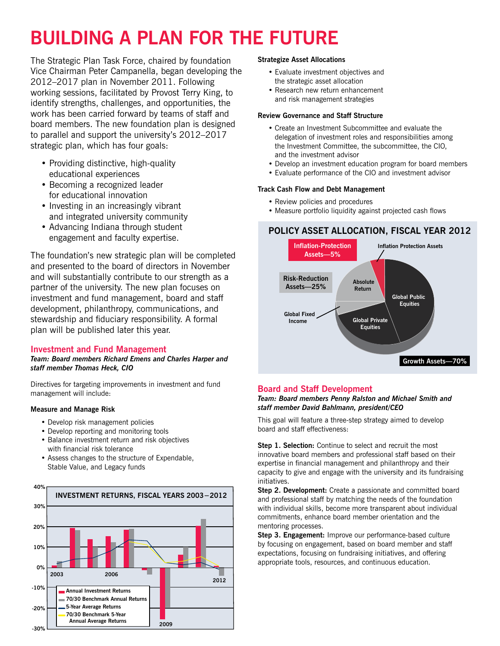## **Building a Plan for the Future**

The Strategic Plan Task Force, chaired by foundation Vice Chairman Peter Campanella, began developing the 2012–2017 plan in November 2011. Following working sessions, facilitated by Provost Terry King, to identify strengths, challenges, and opportunities, the work has been carried forward by teams of staff and board members. The new foundation plan is designed to parallel and support the university's 2012–2017 strategic plan, which has four goals:

- Providing distinctive, high-quality educational experiences
- Becoming a recognized leader for educational innovation
- Investing in an increasingly vibrant and integrated university community
- Advancing Indiana through student engagement and faculty expertise.

The foundation's new strategic plan will be completed and presented to the board of directors in November and will substantially contribute to our strength as a partner of the university. The new plan focuses on investment and fund management, board and staff development, philanthropy, communications, and stewardship and fiduciary responsibility. A formal plan will be published later this year.

#### **Investment and Fund Management**

*Team: Board members Richard Emens and Charles Harper and staff member Thomas Heck, CIO*

Directives for targeting improvements in investment and fund management will include:

#### **Measure and Manage Risk**

- Develop risk management policies
- Develop reporting and monitoring tools
- Balance investment return and risk objectives with financial risk tolerance
- Assess changes to the structure of Expendable, Stable Value, and Legacy funds



#### **Strategize Asset Allocations**

- Evaluate investment objectives and the strategic asset allocation
- Research new return enhancement and risk management strategies

#### **Review Governance and Staff Structure**

- Create an Investment Subcommittee and evaluate the delegation of investment roles and responsibilities among the Investment Committee, the subcommittee, the CIO, and the investment advisor
- Develop an investment education program for board members
- Evaluate performance of the CIO and investment advisor

#### **Track Cash Flow and Debt Management**

- Review policies and procedures
- Measure portfolio liquidity against projected cash flows

#### **POLICY ASSET ALLOCATION, FISCAL YEAR 2012**



#### **Board and Staff Development**

#### *Team: Board members Penny Ralston and Michael Smith and staff member David Bahlmann, president/CEO*

This goal will feature a three-step strategy aimed to develop board and staff effectiveness:

**Step 1. Selection:** Continue to select and recruit the most innovative board members and professional staff based on their expertise in financial management and philanthropy and their capacity to give and engage with the university and its fundraising initiatives.

**Step 2. Development:** Create a passionate and committed board and professional staff by matching the needs of the foundation with individual skills, become more transparent about individual commitments, enhance board member orientation and the mentoring processes.

**Step 3. Engagement:** Improve our performance-based culture by focusing on engagement, based on board member and staff expectations, focusing on fundraising initiatives, and offering appropriate tools, resources, and continuous education.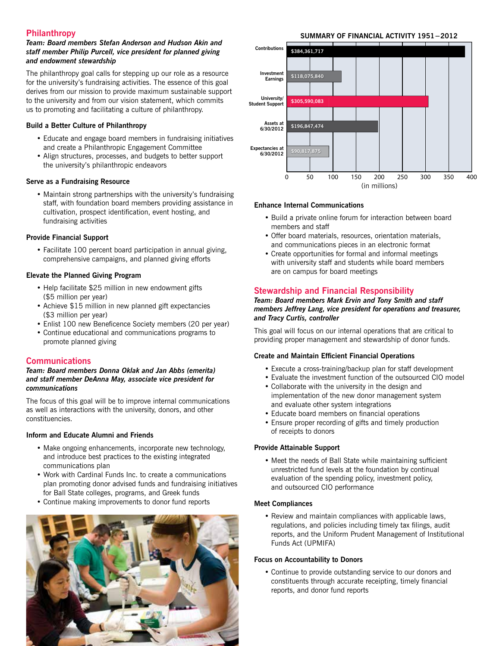#### **Philanthropy**

#### *Team: Board members Stefan Anderson and Hudson Akin and staff member Philip Purcell, vice president for planned giving and endowment stewardship*

The philanthropy goal calls for stepping up our role as a resource for the university's fundraising activities. The essence of this goal derives from our mission to provide maximum sustainable support to the university and from our vision statement, which commits us to promoting and facilitating a culture of philanthropy.

#### **Build a Better Culture of Philanthropy**

- Educate and engage board members in fundraising initiatives and create a Philanthropic Engagement Committee
- Align structures, processes, and budgets to better support the university's philanthropic endeavors

#### **Serve as a Fundraising Resource**

• Maintain strong partnerships with the university's fundraising staff, with foundation board members providing assistance in cultivation, prospect identification, event hosting, and fundraising activities

#### **Provide Financial Support**

• Facilitate 100 percent board participation in annual giving, comprehensive campaigns, and planned giving efforts

#### **Elevate the Planned Giving Program**

- Help facilitate \$25 million in new endowment gifts (\$5 million per year)
- Achieve \$15 million in new planned gift expectancies (\$3 million per year)
- Enlist 100 new Beneficence Society members (20 per year)
- Continue educational and communications programs to promote planned giving

#### **Communications**

#### *Team: Board members Donna Oklak and Jan Abbs (emerita) and staff member DeAnna May, associate vice president for communications*

The focus of this goal will be to improve internal communications as well as interactions with the university, donors, and other constituencies.

#### **Inform and Educate Alumni and Friends**

- Make ongoing enhancements, incorporate new technology, and introduce best practices to the existing integrated communications plan
- Work with Cardinal Funds Inc. to create a communications plan promoting donor advised funds and fundraising initiatives for Ball State colleges, programs, and Greek funds
- Continue making improvements to donor fund reports



#### **SUMMARY OF FINANCIAL ACTIVITY 1951−2012**



#### **Enhance Internal Communications**

- Build a private online forum for interaction between board members and staff
- Offer board materials, resources, orientation materials, and communications pieces in an electronic format
- Create opportunities for formal and informal meetings with university staff and students while board members are on campus for board meetings

#### **Stewardship and Financial Responsibility**

#### *Team: Board members Mark Ervin and Tony Smith and staff members Jeffrey Lang, vice president for operations and treasurer, and Tracy Curtis, controller*

This goal will focus on our internal operations that are critical to providing proper management and stewardship of donor funds.

#### **Create and Maintain Efficient Financial Operations**

- Execute a cross-training/backup plan for staff development
- Evaluate the investment function of the outsourced CIO model
- Collaborate with the university in the design and implementation of the new donor management system and evaluate other system integrations
- Educate board members on financial operations
- Ensure proper recording of gifts and timely production of receipts to donors

#### **Provide Attainable Support**

• Meet the needs of Ball State while maintaining sufficient unrestricted fund levels at the foundation by continual evaluation of the spending policy, investment policy, and outsourced CIO performance

#### **Meet Compliances**

• Review and maintain compliances with applicable laws, regulations, and policies including timely tax filings, audit reports, and the Uniform Prudent Management of Institutional Funds Act (UPMIFA)

#### **Focus on Accountability to Donors**

• Continue to provide outstanding service to our donors and constituents through accurate receipting, timely financial reports, and donor fund reports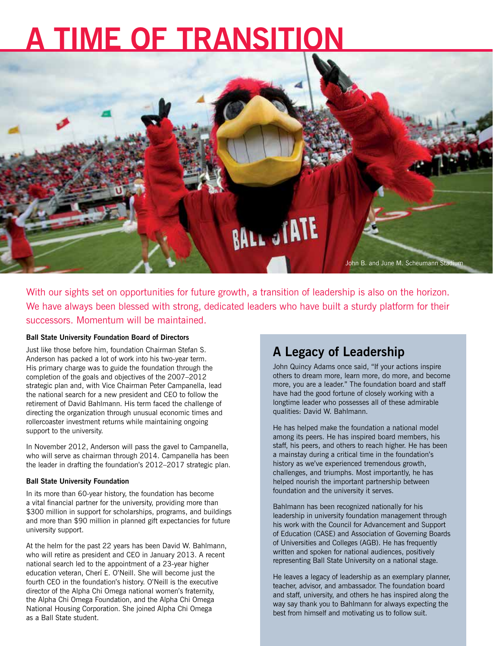## **A Time of Transition**



With our sights set on opportunities for future growth, a transition of leadership is also on the horizon. We have always been blessed with strong, dedicated leaders who have built a sturdy platform for their successors. Momentum will be maintained.

#### **Ball State University Foundation Board of Directors**

Just like those before him, foundation Chairman Stefan S. Anderson has packed a lot of work into his two-year term. His primary charge was to guide the foundation through the completion of the goals and objectives of the 2007–2012 strategic plan and, with Vice Chairman Peter Campanella, lead the national search for a new president and CEO to follow the retirement of David Bahlmann. His term faced the challenge of directing the organization through unusual economic times and rollercoaster investment returns while maintaining ongoing support to the university.

In November 2012, Anderson will pass the gavel to Campanella, who will serve as chairman through 2014. Campanella has been the leader in drafting the foundation's 2012–2017 strategic plan.

#### **Ball State University Foundation**

In its more than 60-year history, the foundation has become a vital financial partner for the university, providing more than \$300 million in support for scholarships, programs, and buildings and more than \$90 million in planned gift expectancies for future university support.

At the helm for the past 22 years has been David W. Bahlmann, who will retire as president and CEO in January 2013. A recent national search led to the appointment of a 23-year higher education veteran, Cherí E. O'Neill. She will become just the fourth CEO in the foundation's history. O'Neill is the executive director of the Alpha Chi Omega national women's fraternity, the Alpha Chi Omega Foundation, and the Alpha Chi Omega National Housing Corporation. She joined Alpha Chi Omega as a Ball State student.

#### **A Legacy of Leadership**

John Quincy Adams once said, "If your actions inspire others to dream more, learn more, do more, and become more, you are a leader." The foundation board and staff have had the good fortune of closely working with a longtime leader who possesses all of these admirable qualities: David W. Bahlmann.

He has helped make the foundation a national model among its peers. He has inspired board members, his staff, his peers, and others to reach higher. He has been a mainstay during a critical time in the foundation's history as we've experienced tremendous growth, challenges, and triumphs. Most importantly, he has helped nourish the important partnership between foundation and the university it serves.

Bahlmann has been recognized nationally for his leadership in university foundation management through his work with the Council for Advancement and Support of Education (CASE) and Association of Governing Boards of Universities and Colleges (AGB). He has frequently written and spoken for national audiences, positively representing Ball State University on a national stage.

He leaves a legacy of leadership as an exemplary planner, teacher, advisor, and ambassador. The foundation board and staff, university, and others he has inspired along the way say thank you to Bahlmann for always expecting the best from himself and motivating us to follow suit.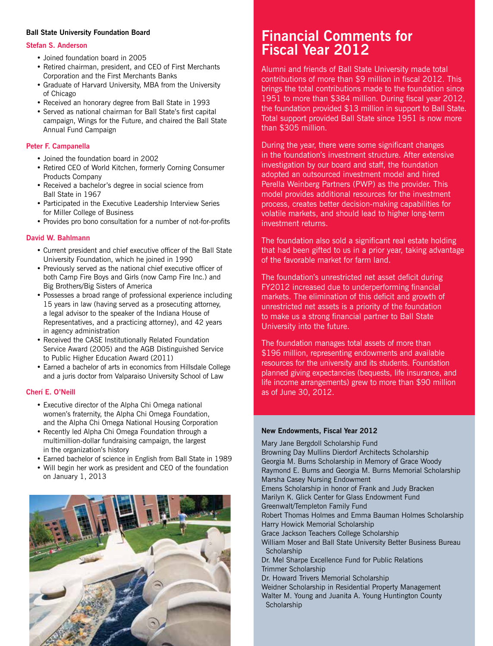#### **Ball State University Foundation Board**

#### **Stefan S. Anderson**

- Joined foundation board in 2005
- Retired chairman, president, and CEO of First Merchants Corporation and the First Merchants Banks
- Graduate of Harvard University, MBA from the University of Chicago
- Received an honorary degree from Ball State in 1993
- Served as national chairman for Ball State's first capital campaign, Wings for the Future, and chaired the Ball State Annual Fund Campaign

#### **Peter F. Campanella**

- Joined the foundation board in 2002
- Retired CEO of World Kitchen, formerly Corning Consumer Products Company
- Received a bachelor's degree in social science from Ball State in 1967
- Participated in the Executive Leadership Interview Series for Miller College of Business
- Provides pro bono consultation for a number of not-for-profits

#### **David W. Bahlmann**

- Current president and chief executive officer of the Ball State University Foundation, which he joined in 1990
- Previously served as the national chief executive officer of both Camp Fire Boys and Girls (now Camp Fire Inc.) and Big Brothers/Big Sisters of America
- Possesses a broad range of professional experience including 15 years in law (having served as a prosecuting attorney, a legal advisor to the speaker of the Indiana House of Representatives, and a practicing attorney), and 42 years in agency administration
- Received the CASE Institutionally Related Foundation Service Award (2005) and the AGB Distinguished Service to Public Higher Education Award (2011)
- Earned a bachelor of arts in economics from Hillsdale College and a juris doctor from Valparaiso University School of Law

#### **Cherí E. O'Neill**

- Executive director of the Alpha Chi Omega national women's fraternity, the Alpha Chi Omega Foundation, and the Alpha Chi Omega National Housing Corporation
- Recently led Alpha Chi Omega Foundation through a multimillion-dollar fundraising campaign, the largest in the organization's history
- Earned bachelor of science in English from Ball State in 1989
- Will begin her work as president and CEO of the foundation on January 1, 2013



### **Financial Comments for Fiscal Year 2012**

Alumni and friends of Ball State University made total contributions of more than \$9 million in fiscal 2012. This brings the total contributions made to the foundation since 1951 to more than \$384 million. During fiscal year 2012, the foundation provided \$13 million in support to Ball State. Total support provided Ball State since 1951 is now more than \$305 million.

During the year, there were some significant changes in the foundation's investment structure. After extensive investigation by our board and staff, the foundation adopted an outsourced investment model and hired Perella Weinberg Partners (PWP) as the provider. This model provides additional resources for the investment process, creates better decision-making capabilities for volatile markets, and should lead to higher long-term investment returns.

The foundation also sold a significant real estate holding that had been gifted to us in a prior year, taking advantage of the favorable market for farm land.

The foundation's unrestricted net asset deficit during FY2012 increased due to underperforming financial markets. The elimination of this deficit and growth of unrestricted net assets is a priority of the foundation to make us a strong financial partner to Ball State University into the future.

The foundation manages total assets of more than \$196 million, representing endowments and available resources for the university and its students. Foundation planned giving expectancies (bequests, life insurance, and life income arrangements) grew to more than \$90 million as of June 30, 2012.

#### **New Endowments, Fiscal Year 2012**

Mary Jane Bergdoll Scholarship Fund Browning Day Mullins Dierdorf Architects Scholarship Georgia M. Burns Scholarship in Memory of Grace Woody Raymond E. Burns and Georgia M. Burns Memorial Scholarship Marsha Casey Nursing Endowment Emens Scholarship in honor of Frank and Judy Bracken Marilyn K. Glick Center for Glass Endowment Fund Greenwalt/Templeton Family Fund Robert Thomas Holmes and Emma Bauman Holmes Scholarship Harry Howick Memorial Scholarship Grace Jackson Teachers College Scholarship William Moser and Ball State University Better Business Bureau **Scholarship** Dr. Mel Sharpe Excellence Fund for Public Relations Trimmer Scholarship Dr. Howard Trivers Memorial Scholarship Weidner Scholarship in Residential Property Management Walter M. Young and Juanita A. Young Huntington County **Scholarship**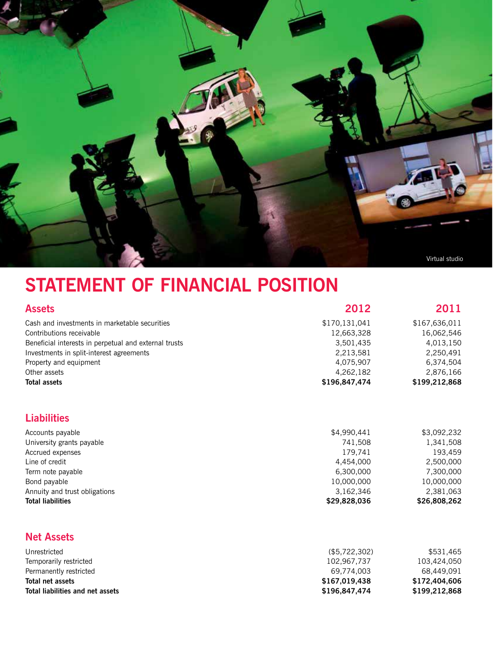

## **STATEMENT OF FINANCIAL POSITION**

| <b>Assets</b>                                         | 2012          | 2011          |
|-------------------------------------------------------|---------------|---------------|
| Cash and investments in marketable securities         | \$170,131,041 | \$167,636,011 |
| Contributions receivable                              | 12,663,328    | 16,062,546    |
| Beneficial interests in perpetual and external trusts | 3,501,435     | 4,013,150     |
| Investments in split-interest agreements              | 2,213,581     | 2,250,491     |
| Property and equipment                                | 4.075.907     | 6.374.504     |
| Other assets                                          | 4.262.182     | 2.876.166     |
| <b>Total assets</b>                                   | \$196,847,474 | \$199,212,868 |

#### **Liabilities**

| Accounts payable              | \$4,990,441  | \$3,092,232  |
|-------------------------------|--------------|--------------|
| University grants payable     | 741.508      | 1,341,508    |
| Accrued expenses              | 179.741      | 193.459      |
| Line of credit                | 4,454,000    | 2,500,000    |
| Term note payable             | 6,300,000    | 7.300.000    |
| Bond payable                  | 10,000,000   | 10,000,000   |
| Annuity and trust obligations | 3.162.346    | 2,381,063    |
| <b>Total liabilities</b>      | \$29,828,036 | \$26,808,262 |

#### **Net Assets**

| Unrestricted                     | (\$5,722,302) | \$531.465     |
|----------------------------------|---------------|---------------|
| Temporarily restricted           | 102.967.737   | 103.424.050   |
| Permanently restricted           | 69.774.003    | 68.449.091    |
| Total net assets                 | \$167.019.438 | \$172,404,606 |
| Total liabilities and net assets | \$196,847,474 | \$199,212,868 |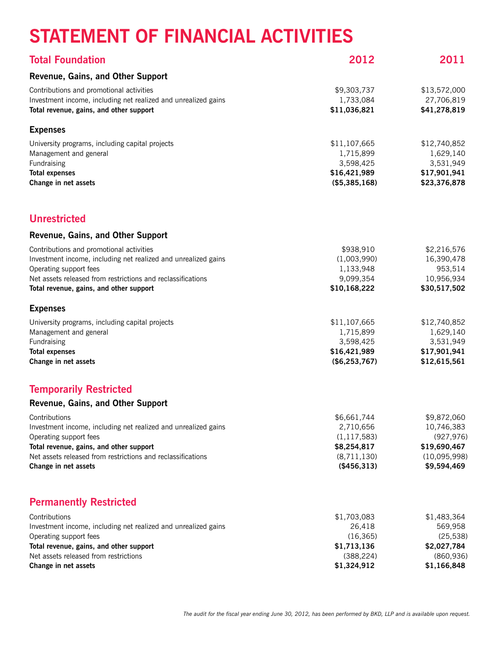## **STATEMENT OF FINANCIAL ACTIVITIES**

| <b>Total Foundation</b>                                                                                                                                                                                                                        | 2012                                                                                   | 2011                                                                                   |
|------------------------------------------------------------------------------------------------------------------------------------------------------------------------------------------------------------------------------------------------|----------------------------------------------------------------------------------------|----------------------------------------------------------------------------------------|
| Revenue, Gains, and Other Support                                                                                                                                                                                                              |                                                                                        |                                                                                        |
| Contributions and promotional activities<br>Investment income, including net realized and unrealized gains<br>Total revenue, gains, and other support                                                                                          | \$9,303,737<br>1,733,084<br>\$11,036,821                                               | \$13,572,000<br>27,706,819<br>\$41,278,819                                             |
| <b>Expenses</b>                                                                                                                                                                                                                                |                                                                                        |                                                                                        |
| University programs, including capital projects<br>Management and general<br>Fundraising<br><b>Total expenses</b><br>Change in net assets                                                                                                      | \$11,107,665<br>1,715,899<br>3,598,425<br>\$16,421,989<br>(\$5,385,168)                | \$12,740,852<br>1,629,140<br>3,531,949<br>\$17,901,941<br>\$23,376,878                 |
| <b>Unrestricted</b>                                                                                                                                                                                                                            |                                                                                        |                                                                                        |
| Revenue, Gains, and Other Support                                                                                                                                                                                                              |                                                                                        |                                                                                        |
| Contributions and promotional activities<br>Investment income, including net realized and unrealized gains<br>Operating support fees<br>Net assets released from restrictions and reclassifications<br>Total revenue, gains, and other support | \$938,910<br>(1,003,990)<br>1,133,948<br>9,099,354<br>\$10,168,222                     | \$2,216,576<br>16,390,478<br>953,514<br>10,956,934<br>\$30,517,502                     |
| <b>Expenses</b>                                                                                                                                                                                                                                |                                                                                        |                                                                                        |
| University programs, including capital projects<br>Management and general<br>Fundraising<br><b>Total expenses</b><br>Change in net assets                                                                                                      | \$11,107,665<br>1,715,899<br>3,598,425<br>\$16,421,989<br>(\$6,253,767)                | \$12,740,852<br>1,629,140<br>3,531,949<br>\$17,901,941<br>\$12,615,561                 |
| <b>Temporarily Restricted</b>                                                                                                                                                                                                                  |                                                                                        |                                                                                        |
| Revenue, Gains, and Other Support                                                                                                                                                                                                              |                                                                                        |                                                                                        |
| Contributions<br>Investment income, including net realized and unrealized gains<br>Operating support fees<br>Total revenue, gains, and other support<br>Net assets released from restrictions and reclassifications<br>Change in net assets    | \$6,661,744<br>2,710,656<br>(1, 117, 583)<br>\$8,254,817<br>(8,711,130)<br>(\$456,313) | \$9,872,060<br>10,746,383<br>(927, 976)<br>\$19,690,467<br>(10,095,998)<br>\$9,594,469 |
| <b>Permanently Restricted</b>                                                                                                                                                                                                                  |                                                                                        |                                                                                        |
| Contributions<br>Investment income, including net realized and unrealized gains<br>Operating support fees<br>Total revenue, gains, and other support<br>Net assets released from restrictions<br>Change in net assets                          | \$1,703,083<br>26,418<br>(16, 365)<br>\$1,713,136<br>(388, 224)<br>\$1,324,912         | \$1,483,364<br>569,958<br>(25, 538)<br>\$2,027,784<br>(860, 936)<br>\$1,166,848        |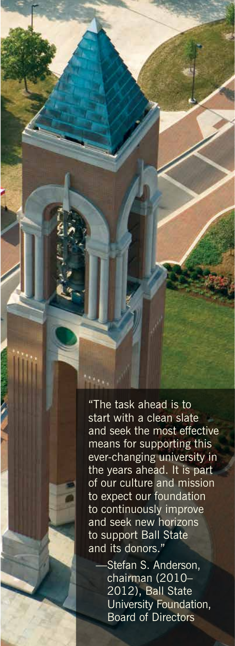"The task ahead is to start with a clean slate and seek the most effective means for supporting this ever-changing university in the years ahead. It is part of our culture and mission to expect our foundation to continuously improve and seek new horizons to support Ball State and its donors."

> Stefan S. Anderson, chairman (2010– 2012), Ball State University Foundation, Board of Directors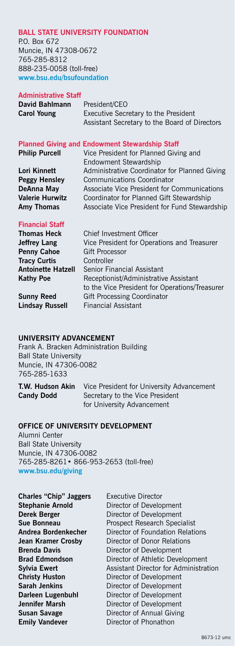#### **Ball State University Foundation**

P.O. Box 672 Muncie, IN 47308-0672 765-285-8312 888-235-0058 (toll-free) **www.bsu.edu/bsufoundation**

#### **Administrative Staff**

| David Bahlmann     | President/CEO                                 |
|--------------------|-----------------------------------------------|
| <b>Carol Young</b> | Executive Secretary to the President          |
|                    | Assistant Secretary to the Board of Directors |

#### **Planned Giving and Endowment Stewardship Staff**

| <b>Philip Purcell</b>  | Vice President for Planned Giving and         |
|------------------------|-----------------------------------------------|
|                        | Endowment Stewardship                         |
| Lori Kinnett           | Administrative Coordinator for Planned Giving |
| <b>Peggy Hensley</b>   | <b>Communications Coordinator</b>             |
| DeAnna May             | Associate Vice President for Communications   |
| <b>Valerie Hurwitz</b> | Coordinator for Planned Gift Stewardship      |
| Amy Thomas             | Associate Vice President for Fund Stewardship |
|                        |                                               |

#### **Financial Staff**

| Chief Investment Officer                       |
|------------------------------------------------|
| Vice President for Operations and Treasurer    |
| <b>Gift Processor</b>                          |
| Controller                                     |
| Senior Financial Assistant                     |
| Receptionist/Administrative Assistant          |
| to the Vice President for Operations/Treasurer |
| <b>Gift Processing Coordinator</b>             |
| <b>Financial Assistant</b>                     |
|                                                |

#### **University Advancement**

Frank A. Bracken Administration Building Ball State University Muncie, IN 47306-0082 765-285-1633

| T.W. Hudson Akin  | Vice President for University Advancement |
|-------------------|-------------------------------------------|
| <b>Candy Dodd</b> | Secretary to the Vice President           |
|                   | for University Advancement                |

#### **Office of University Development**

Alumni Center Ball State University Muncie, IN 47306-0082 765-285-8261• 866-953-2653 (toll-free) **www.bsu.edu/giving**

**Charles "Chip" Jaggers** Executive Director **Emily Vandever Director of Phonathon** 

**Stephanie Arnold Director of Development Derek Berger Director of Development Sue Bonneau** Prospect Research Specialist **Andrea Bordenkecher** Director of Foundation Relations<br> **Jean Kramer Crosby** Director of Donor Relations **Director of Donor Relations Brenda Davis Director of Development Brad Edmondson** Director of Athletic Development **Sylvia Ewert Assistant Director for Administration Christy Huston** Director of Development **Sarah Jenkins Director of Development Darleen Lugenbuhl Barlet Director of Development Jennifer Marsh**  Director of Development **Susan Savage Director of Annual Giving**